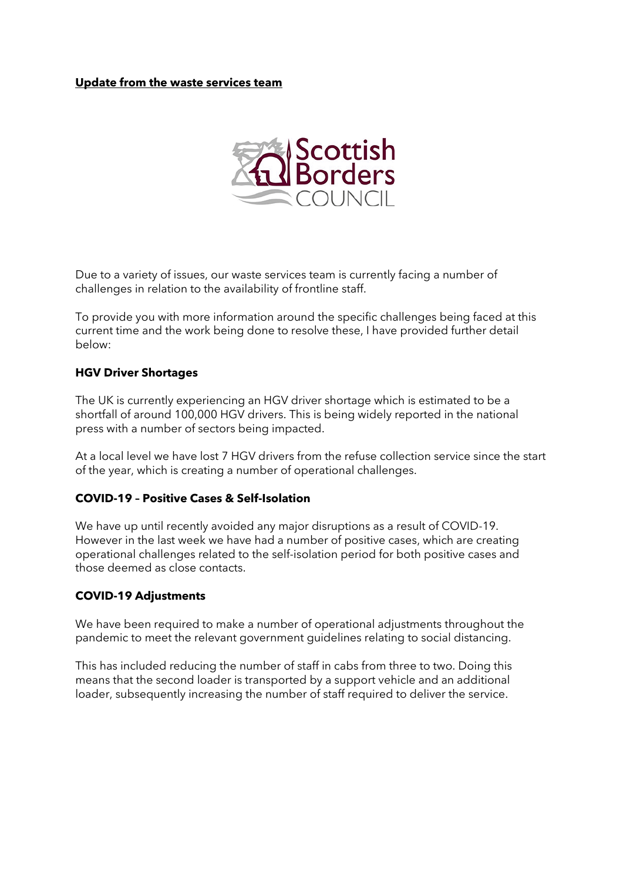## **Update from the waste services team**



Due to a variety of issues, our waste services team is currently facing a number of challenges in relation to the availability of frontline staff.

To provide you with more information around the specific challenges being faced at this current time and the work being done to resolve these, I have provided further detail below:

### **HGV Driver Shortages**

The UK is currently experiencing an HGV driver shortage which is estimated to be a shortfall of around 100,000 HGV drivers. This is being widely reported in the national press with a number of sectors being impacted.

At a local level we have lost 7 HGV drivers from the refuse collection service since the start of the year, which is creating a number of operational challenges.

## **COVID-19 – Positive Cases & Self-Isolation**

We have up until recently avoided any major disruptions as a result of COVID-19. However in the last week we have had a number of positive cases, which are creating operational challenges related to the self-isolation period for both positive cases and those deemed as close contacts.

#### **COVID-19 Adjustments**

We have been required to make a number of operational adjustments throughout the pandemic to meet the relevant government guidelines relating to social distancing.

This has included reducing the number of staff in cabs from three to two. Doing this means that the second loader is transported by a support vehicle and an additional loader, subsequently increasing the number of staff required to deliver the service.